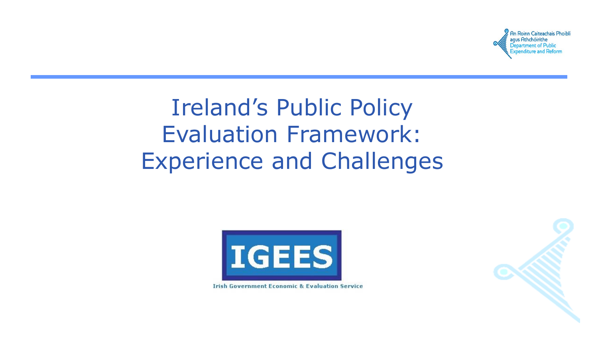

# Ireland's Public Policy Evaluation Framework: Experience and Challenges



**Irish Government Economic & Evaluation Service** 

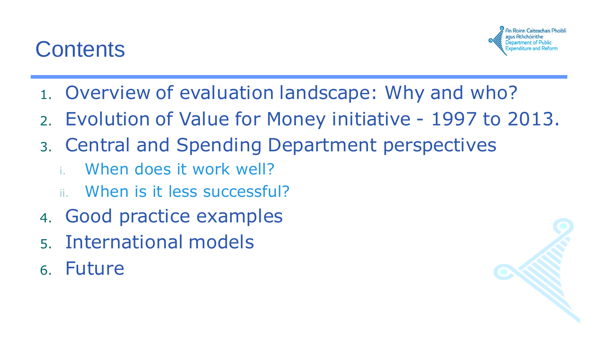### **Contents**



- 1. Overview of evaluation landscape: Why and who?
- 2. Evolution of Value for Money initiative 1997 to 2013.
- 3. Central and Spending Department perspectives
	- i. When does it work well?
	- When is it less successful?
- 4. Good practice examples
- 5. International models
- 6. Future

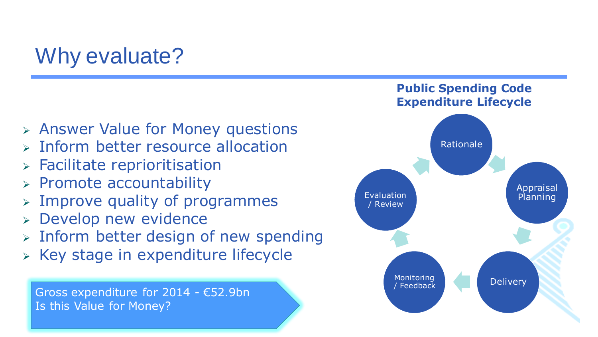## Why evaluate?

- Answer Value for Money questions
- $\triangleright$  Inform better resource allocation
- Facilitate reprioritisation
- $\triangleright$  Promote accountability
- Improve quality of programmes
- Develop new evidence
- $\triangleright$  Inform better design of new spending
- $\triangleright$  Key stage in expenditure lifecycle

Gross expenditure for 2014 - €52.9bn Is this Value for Money?

#### **Public Spending Code Expenditure Lifecycle**

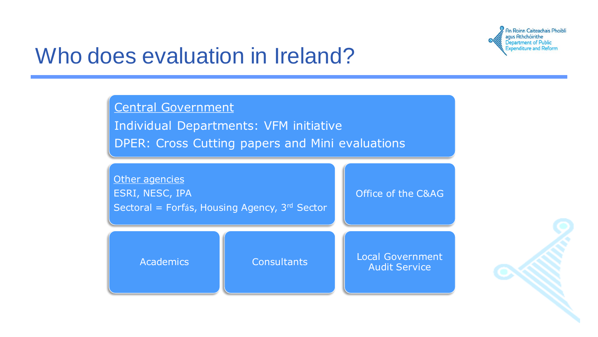

### Who does evaluation in Ireland?

Central Government Individual Departments: VFM initiative DPER: Cross Cutting papers and Mini evaluations

| Other agencies<br>ESRI, NESC, IPA<br>Sectoral = Forfás, Housing Agency, 3rd Sector |                    | Office of the C&AG                              |
|------------------------------------------------------------------------------------|--------------------|-------------------------------------------------|
| <b>Academics</b>                                                                   | <b>Consultants</b> | <b>Local Government</b><br><b>Audit Service</b> |

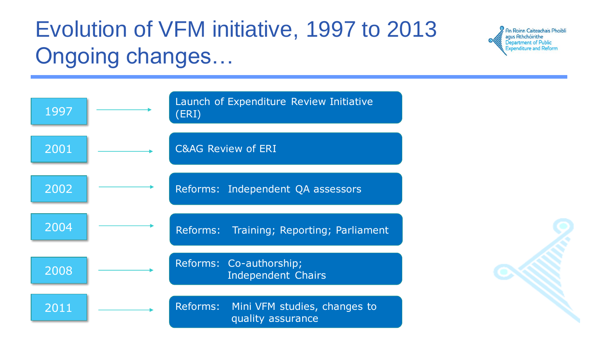# Evolution of VFM initiative, 1997 to 2013 Ongoing changes…



| 1997 | Launch of Expenditure Review Initiative<br>(ERI)           |
|------|------------------------------------------------------------|
| 2001 | <b>C&amp;AG Review of ERI</b>                              |
| 2002 | Reforms: Independent QA assessors                          |
| 2004 | Reforms: Training; Reporting; Parliament                   |
| 2008 | Reforms: Co-authorship;<br><b>Independent Chairs</b>       |
| 2011 | Reforms: Mini VFM studies, changes to<br>quality assurance |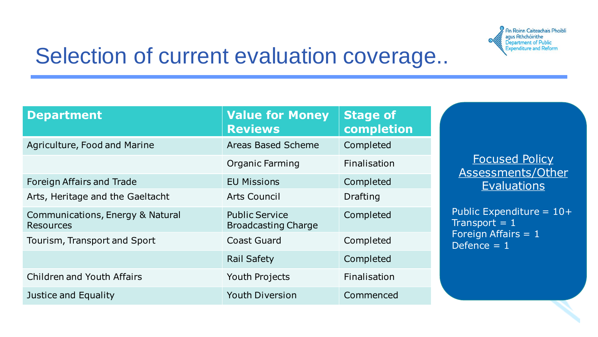

## Selection of current evaluation coverage..

| <b>Department</b>                                    | <b>Value for Money</b><br><b>Reviews</b>            | <b>Stage of</b><br>completion |
|------------------------------------------------------|-----------------------------------------------------|-------------------------------|
| Agriculture, Food and Marine                         | <b>Areas Based Scheme</b>                           | Completed                     |
|                                                      | Organic Farming                                     | <b>Finalisation</b>           |
| <b>Foreign Affairs and Trade</b>                     | <b>EU Missions</b>                                  | Completed                     |
| Arts, Heritage and the Gaeltacht                     | Arts Council                                        | Drafting                      |
| Communications, Energy & Natural<br><b>Resources</b> | <b>Public Service</b><br><b>Broadcasting Charge</b> | Completed                     |
| Tourism, Transport and Sport                         | <b>Coast Guard</b>                                  | Completed                     |
|                                                      | <b>Rail Safety</b>                                  | Completed                     |
| <b>Children and Youth Affairs</b>                    | Youth Projects                                      | <b>Finalisation</b>           |
| Justice and Equality                                 | <b>Youth Diversion</b>                              | Commenced                     |

Focused Policy Assessments/Other **Evaluations** 

Public Expenditure = 10+ Transport  $= 1$ Foreign Affairs = 1 Defence  $= 1$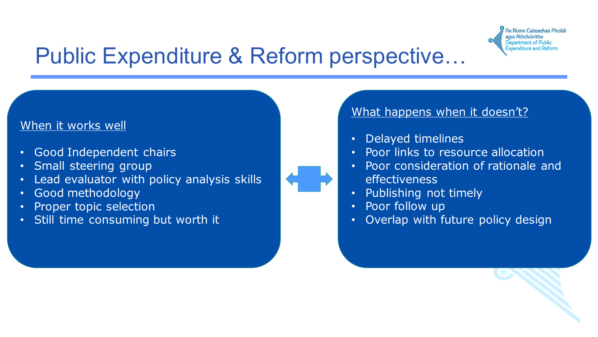

## Public Expenditure & Reform perspective…

#### When it works well

- Good Independent chairs
- Small steering group
- Lead evaluator with policy analysis skills
- Good methodology
- Proper topic selection
- Still time consuming but worth it

#### What happens when it doesn't?

- Delayed timelines
- Poor links to resource allocation
- Poor consideration of rationale and effectiveness
- Publishing not timely
- Poor follow up
- Overlap with future policy design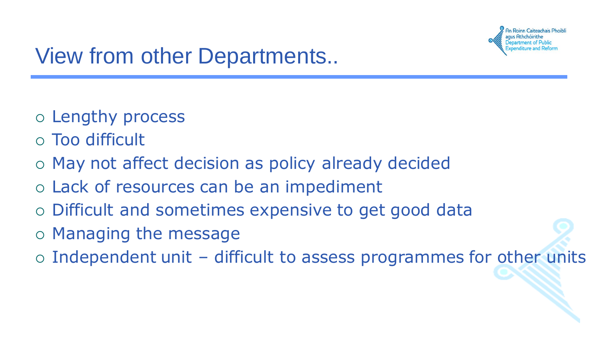

## View from other Departments..

- Lengthy process
- Too difficult
- May not affect decision as policy already decided
- Lack of resources can be an impediment
- Difficult and sometimes expensive to get good data
- Managing the message
- $\circ$  Independent unit difficult to assess programmes for other units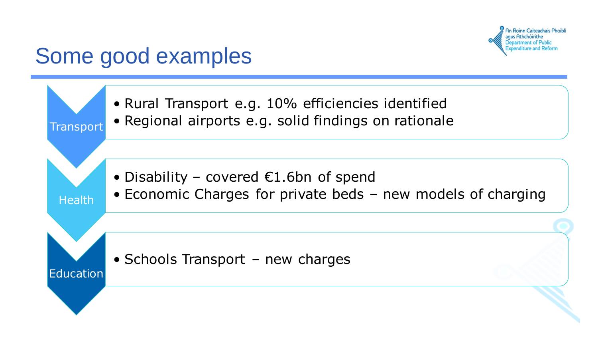

### Some good examples

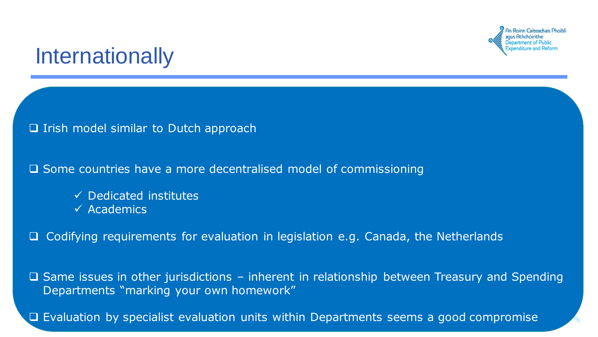

### **Internationally**

#### $\Box$  Irish model similar to Dutch approach

#### Some countries have a more decentralised model of commissioning

- $\checkmark$  Dedicated institutes
- $\checkmark$  Academics

□ Codifying requirements for evaluation in legislation e.g. Canada, the Netherlands

 $\square$  Same issues in other jurisdictions – inherent in relationship between Treasury and Spending Departments "marking your own homework"

 $\Box$  Evaluation by specialist evaluation units within Departments seems a good compromise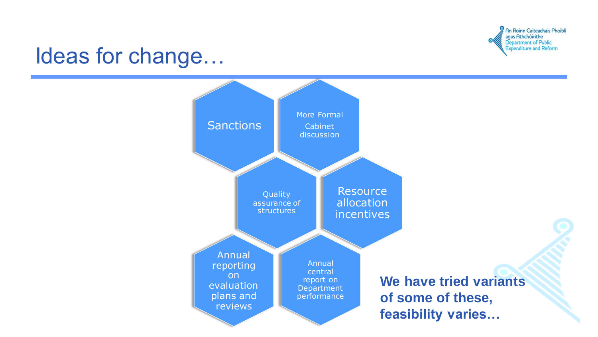

### Ideas for change…

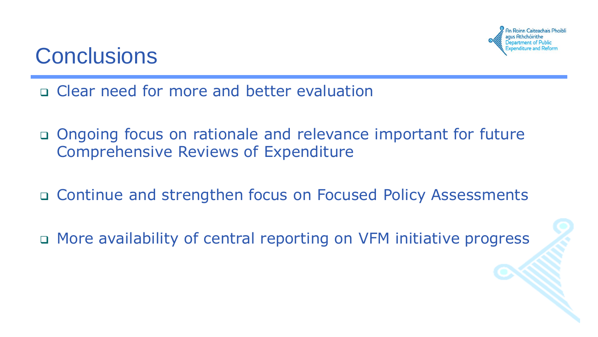

### **Conclusions**

- Clear need for more and better evaluation
- Ongoing focus on rationale and relevance important for future Comprehensive Reviews of Expenditure
- Continue and strengthen focus on Focused Policy Assessments
- □ More availability of central reporting on VFM initiative progress